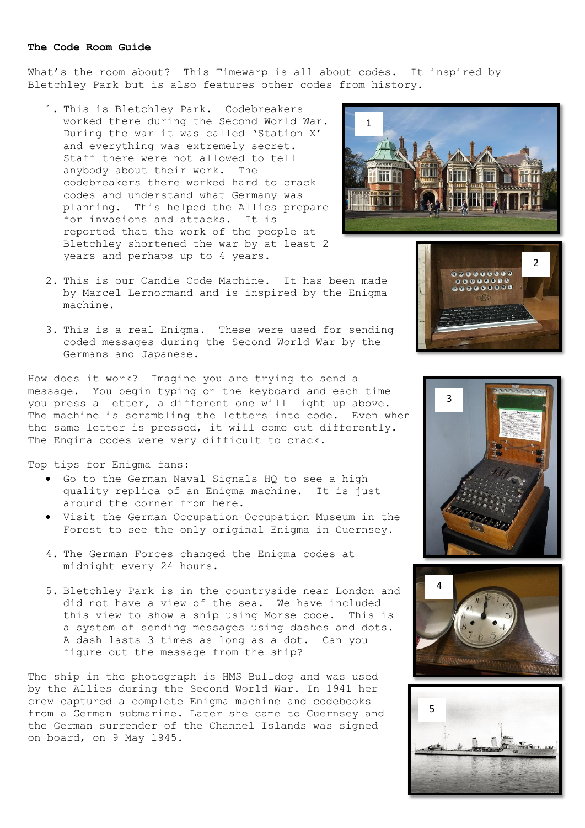## **The Code Room Guide**

What's the room about? This Timewarp is all about codes. It inspired by Bletchley Park but is also features other codes from history.

- 1. This is Bletchley Park. Codebreakers worked there during the Second World War. During the war it was called 'Station X' and everything was extremely secret. Staff there were not allowed to tell anybody about their work. The codebreakers there worked hard to crack codes and understand what Germany was planning. This helped the Allies prepare for invasions and attacks. It is reported that the work of the people at Bletchley shortened the war by at least 2 years and perhaps up to 4 years.
- 2. This is our Candie Code Machine. It has been made by Marcel Lernormand and is inspired by the Enigma machine.
- 3. This is a real Enigma. These were used for sending coded messages during the Second World War by the Germans and Japanese.

How does it work? Imagine you are trying to send a message. You begin typing on the keyboard and each time you press a letter, a different one will light up above. The machine is scrambling the letters into code. Even when the same letter is pressed, it will come out differently. The Engima codes were very difficult to crack.

Top tips for Enigma fans:

- Go to the German Naval Signals HQ to see a high quality replica of an Enigma machine. It is just around the corner from here.
- Visit the German Occupation Occupation Museum in the Forest to see the only original Enigma in Guernsey.
- 4. The German Forces changed the Enigma codes at midnight every 24 hours.
- 5. Bletchley Park is in the countryside near London and did not have a view of the sea. We have included this view to show a ship using Morse code. This is a system of sending messages using dashes and dots. A dash lasts 3 times as long as a dot. Can you figure out the message from the ship?

The ship in the photograph is HMS Bulldog and was used by the Allies during the Second World War. In 1941 her crew captured a complete Enigma machine and codebooks from a German submarine. Later she came to Guernsey and the German surrender of the Channel Islands was signed on board, on 9 May 1945.